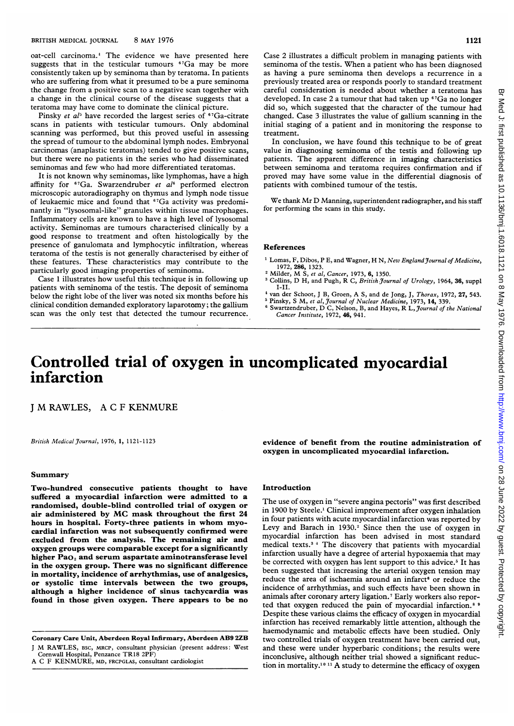oat-cell carcinoma.<sup>4</sup> The evidence we have presented here suggests that in the testicular tumours <sup>67</sup>Ga may be more consistently taken up by seminoma than by teratoma. In patients who are suffering from what it presumed to be a pure seminoma the change from a positive scan to a negative scan together with a change in the clinical course of the disease suggests that a teratoma may have come to dominate the clinical picture.

Pinsky et  $a^{j_5}$  have recorded the largest series of  $S^7$ Ga-citrate scans in patients with testicular tumours. Only abdominal scanning was performed, but this proved useful in assessing the spread of tumour to the abdominal lymph nodes. Embryonal carcinomas (anaplastic teratomas) tended to give positive scans, but there were no patients in the series who had disseminated seminomas and few who had more differentiated teratomas.

It is not known why seminomas, like lymphomas, have <sup>a</sup> high affinity for  $67\text{Ga}$ . Swarzendruber et al<sup>6</sup> performed electron microscopic autoradiography on thymus and lymph node tissue of leukaemic mice and found that 67Ga activity was predominantly in "lysosomal-like" granules within tissue macrophages. Inflammatory cells are known to have a high level of lysosomal activity. Seminomas are tumours characterised clinically by a good response to treatment and often histologically by the presence of ganulomata and lymphocytic infiltration, whereas teratoma of the testis is not generally characterised by either of these features. These characteristics may contribute to the particularly good imaging properties of seminoma.

Case <sup>1</sup> illustrates how useful this technique is in following up patients with seminoma of the testis. The deposit of seminoma below the right lobe of the liver was noted six months before his clinical condition demanded exploratory laparotomy; the gallium scan was the only test that detected the tumour recurrence. Case 2 illustrates a difficult problem in managing patients with seminoma of the testis. When <sup>a</sup> patient who has been diagnosed as having a pure seminoma then develops a recurrence in a previously treated area or responds poorly to standard treatment careful consideration is needed about whether a teratoma has developed. In case 2 a tumour that had taken up <sup>67</sup>Ga no longer did so, which suggested that the character of the tumour had changed. Case 3 illustrates the value of gallium scanning in the initial staging of a patient and in monitoring the response to treatment.

In conclusion, we have found this technique to be of great value in diagnosing seminoma of the testis and following up patients. The apparent difference in imaging characteristics between seminoma and teratoma requires confirmation and if proved may have some value in the differential diagnosis of patients with combined tumour of the testis.

We thank Mr D Manning, superintendent radiographer, and his staff for performing the scans in this study.

## References

- <sup>1</sup> Lomas, F, Dibos, P E, and Wagner, H N, New England Journal of Medicine,
- 1972, 286, 1323.<br>
<sup>2</sup> Milder, M S, *et al*, Cancer, 1973, **6,** 1350.
- <sup>3</sup> Collins, D H, and Pugh, R C, British Journal of Urology, 1964, 36, suppl I-II.
- van der Schoot, J B, Groen, A S, and de Jong, J, Thorax, 1972, 27, 543.
- <sup>5</sup> Pinsky, S M, *et al, Journal of Nuclear Medicine,* 1973, **14,** 339.<br><sup>6</sup> Swartzendruber, D C, Nelson, B, and Hayes, R L, *Journal of the National* Cancer Institute, 1972, 46, 941.

# Controlled trial of oxygen in uncomplicated myocardial infarction

<sup>J</sup> M RAWLES, A <sup>C</sup> <sup>F</sup> KENMURE

British Medical Journal, 1976, 1, 1121-1123

## Summary

Two-hundred consecutive patients thought to have suffered a myocardial infarction were admitted to a randomised, double-blind controlled trial of oxygen or air administered by MC mask throughout the first <sup>24</sup> hours in hospital. Forty-three patients in whom myocardial infarction was not subsequently confirmed were excluded from the analysis. The remaining air and oxygen groups were comparable except for a significantly higher  $PaO<sub>2</sub>$  and serum aspartate aminotransferase level in the oxygen group. There was no significant difference in mortality, incidence of arrhythmias, use of analgesics, or systolic time intervals between the two groups, although a higher incidence of sinus tachycardia was found in those given oxygen. There appears to be no

evidence of benefit from the routine administration of oxygen in uncomplicated myocardial infarction.

### Introduction

The use of oxygen in "severe angina pectoris" was first described in 1900 by Steele.' Clinical improvement after oxygen inhalation in four patients with acute myocardial infarction was reported by Levy and Barach in  $1930.^2$  Since then the use of oxygen in myocardial infarction has been advised in most standard medical texts.3 The discovery that patients with myocardial infarction usually have a degree of arterial hypoxaemia that may be corrected with oxygen has lent support to this advice.<sup>5</sup> It has been suggested that increasing the arterial oxygen tension may reduce the area of ischaemia around an infarct<sup>6</sup> or reduce the incidence of arrhythmias, and such effects have been shown in animals after coronary artery ligation.7 Early workers also reported that oxygen reduced the pain of myocardial infarction.<sup>8 9</sup> Despite these various claims the efficacy of oxygen in myocardial infarction has received remarkably little attention, although the haemodynamic and metabolic effects have been studied. Only two controlled trials of oxygen treatment have been carried out, and these were under hyperbaric conditions; the results were inconclusive, although neither trial showed a significant reduction in mortality.'0 <sup>11</sup> A study to determine the efficacy of oxygen

Coronary Care Unit, Aberdeen Royal Infirmary, Aberdeen AB9 2ZB <sup>J</sup> M RAWLES, BSC, MRCP, consultant physician (present address: West

Cornwall Hospital, Penzance TR18 2PF)

A C F KENMURE, MD, FRCPGLAS, consultant cardiologist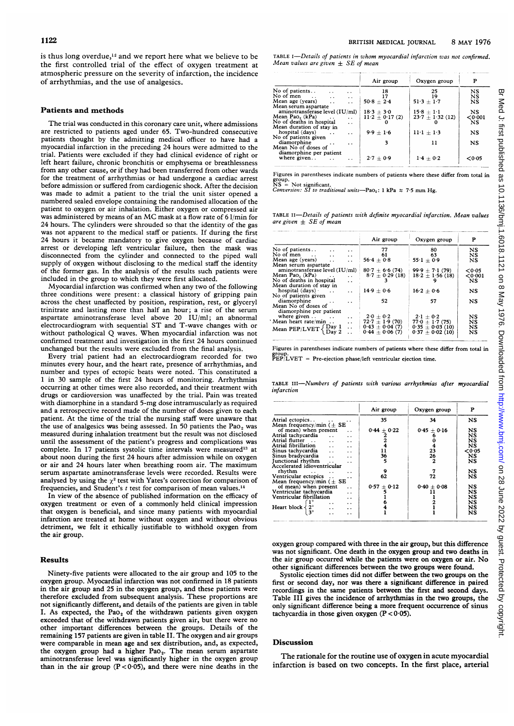is thus long overdue, $12$  and we report here what we believe to be the first controlled trial of the effect of oxygen treatment at atmospheric pressure on the severity of infarction, the incidence of arrhythmias, and the use of analgesics.

#### Patients and methods

The trial was conducted in this coronary care unit, where admissions are restricted to patients aged under 65. Two-hundred consecutive patients thought by the admitting medical officer to have had a myocardial infarction in the preceding 24 hours were admitted to the trial. Patients were excluded if they had clinical evidence of right or left heart failure, chronic bronchitis or emphysema or breathlessness from any other cause, or if they had been transferred from other wards for the treatment of arrhythmias or had undergone a cardiac arrest before admission or suffered from cardiogenic shock. After the decision was made to admit <sup>a</sup> patient to the trial the unit sister opened a numbered sealed envelope containing the randomised allocation of the patient to oxygen or air inhalation. Either oxygen or compressed air was administered by means of an MC mask at <sup>a</sup> flow rate of <sup>6</sup> 1/min for 24 hours. The cylinders were shrouded so that the identity of the gas was not apparent to the medical staff or patients. If during the first 24 hours it became mandatory to give oxygen because of cardiac arrest or developing left ventricular failure, then the mask was disconnected from the cylinder and connected to the piped wall supply of oxygen without disclosing to the medical staff the identity of the former gas. In the analysis of the results such patients were included in the group to which they were first allocated.

Myocardial infarction was confirmed when any two of the following three conditions were present: a classical history of gripping pain across the chest unaffected by position, respiration, rest, or glyceryl trinitrate and lasting more than half an hour; a rise of the serum aspartate aminotransferase level above 20 IU/ml; an abnormal electrocardiogram with sequential ST and T-wave changes with or without pathological Q waves. When myocardial infarction was not confirmed treatment and investigation in the first 24 hours continued unchanged but the results were excluded from the final analysis.

Every trial patient had an electrocardiogram recorded for two minutes every hour, and the heart rate, presence of arrhythmias, and number and types of ectopic beats were noted. This constituted <sup>a</sup> <sup>1</sup> in 30 sample of the first 24 hours of monitoring. Arrhythmias occurring at other times were also recorded, and their treatment with drugs or cardioversion was unaffected by the trial. Pain was treated with diamorphine in a standard 5-mg dose intramuscularly as required and <sup>a</sup> retrospective record made of the number of doses given to each patient. At the time of the trial the nursing staff were unaware that the use of analgesics was being assessed. In 50 patients the Pao, was measured during inhalation treatment but the result was not disclosed until the assessment of the patient's progress and complications was complete. In 17 patients systolic time intervals were measured<sup>13</sup> at about noon during the first 24 hours after admission while on oxygen or air and 24 hours later when breathing room air. The maximum serum aspartate aminotransferase levels were recorded. Results were analysed by using the  $\chi^2$  test with Yates's correction for comparison of frequencies, and Student's  $t$  test for comparison of mean values.<sup>14</sup>

In view of the absence of published information on the efficacy of oxygen treatment or even of a commonly held clinical impression that oxygen is beneficial, and since many patients with myocardial infarction are treated at home without oxygen and without obvious detriment, we felt it ethically justifiable to withhold oxygen from the air group.

#### Results

Ninety-five patients were allocated to the air group and 105 to the oxygen group. Myocardial infarction was not confirmed in 18 patients in the air group and 25 in the oxygen group, and these patients were therefore excluded from subsequent analysis. These proportions are not significantly different, and details of the patients are given in table I. As expected, the  $PaO<sub>2</sub>$  of the withdrawn patients given oxygen exceeded that of the withdrawn patients given air, but there were no other important differences between the groups. Details of the remaining 157 patients are given in table II. The oxygen and air groups were comparable in mean age and sex distribution, and, as expected, the oxygen group had a higher Pao<sub>2</sub>. The mean serum aspartate aminotransferase level was significantly higher in the oxygen group than in the air group  $(P < 0.05)$ , and there were nine deaths in the TABLE I-Details of patients in whom myocardial infarction was not confirmed. Mean values are given  $\pm$  SE of mean

|                                                      | Air group          | Oxygen group             | P         |
|------------------------------------------------------|--------------------|--------------------------|-----------|
| No of patients<br>$\ddot{\phantom{0}}$<br>. .        | 18                 | 25                       | NS        |
| No of men<br>$\ddot{\phantom{1}}$<br>$\ddotsc$       |                    | 19                       | NS        |
| Mean age (years)<br>$\cdots$<br>$\ddot{\phantom{0}}$ | $50.8 + 2.4$       | $51.3 \pm 1.7$           | <b>NS</b> |
| Mean serum aspartate                                 |                    |                          |           |
| aminotransferase level (IU/ml)                       | $18.3 + 3.0$       | $15.8 + 1.1$             | NS        |
| Mean Pao. (kPa)<br>$\ddot{\phantom{0}}$              | $11.2 \pm 0.17(2)$ | $23.7 \pm 1.32$ (12)     | < 0.001   |
| No of deaths in hospital<br>$\ddot{\phantom{a}}$     |                    |                          | <b>NS</b> |
| Mean duration of stay in                             |                    |                          |           |
| hospital (days)<br>$\ddot{\phantom{1}}$              | $9.9 + 1.6$        | $11 \cdot 1 + 1 \cdot 3$ | NS        |
| No of patients given                                 |                    |                          |           |
| diamorphine<br>$\ddot{\phantom{0}}$                  | 3                  | 11                       | NS        |
| Mean No of doses of                                  |                    |                          |           |
| diamorphine per patient                              |                    |                          |           |
| where given                                          | $2.7 + 0.9$        | $1.4 + 0.2$              | < 0.05    |
|                                                      |                    |                          |           |

Figures in parentheses indicate numbers of patients where these differ from total in group.<br>NS = Not significant.<br>*Conversion: SI to traditional units*—Pa0<sub>2</sub>: 1 kPa  $\approx$  7·5 mm Hg.

TABLE II-Details of patients with definite myocardial infarction. Mean values are given  $\pm$  SE of mean

|                                                                                                                                      | Air group                                             | Oxygen group                                           | P                   |
|--------------------------------------------------------------------------------------------------------------------------------------|-------------------------------------------------------|--------------------------------------------------------|---------------------|
| No of patients<br>$\ddot{\phantom{0}}$<br>$\ddot{\phantom{0}}$<br>No of men $\ldots$<br>$\ddot{\phantom{a}}$<br>$\ddot{\phantom{0}}$ | 77<br>61                                              | 80<br>63                                               | NS<br>NS            |
| Mean age (years)<br>$\ddot{\phantom{a}}$<br>$\ddot{\phantom{a}}$                                                                     | $56.4 + 0.8$                                          | $55.1 + 0.9$                                           | NS                  |
| Mean serum aspartate                                                                                                                 |                                                       |                                                        |                     |
| aminotransferase level (IU/ml)<br>Mean Pao. (kPa)<br>$\ddotsc$<br>No of deaths in hospital<br>$\ddot{\phantom{0}}$                   | $80.7 + 6.6(74)$<br>$8.7 \pm 0.29$ (18)               | $99.9 + 7.1(79)$<br>$18.2 \pm 1.56$ (18)               | 0.05<br>0.001<br>NS |
| Mean duration of stay in<br>hospital $(days)$ .<br>$\cdots$<br>$\ddot{\phantom{0}}$<br>No of patients given                          | $14.9 + 0.6$                                          | $16.2 \pm 0.6$                                         | NS                  |
| diamorphine<br>$\sim$<br>. .<br>Mean No of doses of<br>diamorphine per patient                                                       | 52                                                    | 57                                                     | NS                  |
| where given $\dots$ $\dots$<br>$\ddot{\phantom{a}}$<br>Mean heart rate/min<br>$\ddot{\phantom{0}}$<br>$\ddot{\phantom{a}}$           | $2.0 + 0.2$<br>$72.7 + 1.9(70)$<br>$0.43 \pm 0.04(7)$ | $2.1 + 0.2$<br>$77.0 \pm 1.7(75)$<br>$0.35 + 0.03(10)$ | NS<br>NS<br>NS      |
| Mean PEP/LVET $\left\{\begin{array}{c} Day 1 \\ Form 2 \end{array}\right\}$<br>Day 2                                                 | $0.44 \pm 0.06(7)$                                    | $0.37 + 0.02(10)$                                      | NS                  |

Figures in parentheses indicate numbers of patients where these differ from total in group. PEP/LVET = Pre-ejection phase/left ventricular ejection time.

|            |  |  | TABLE III—Numbers of patients with various arrhythmias after myocardial |  |
|------------|--|--|-------------------------------------------------------------------------|--|
| infarction |  |  |                                                                         |  |

|                                                                                                                                                                                                                                                                                                                                                                                                                 | Air group                               | Oxygen group                | P                                        |
|-----------------------------------------------------------------------------------------------------------------------------------------------------------------------------------------------------------------------------------------------------------------------------------------------------------------------------------------------------------------------------------------------------------------|-----------------------------------------|-----------------------------|------------------------------------------|
| Atrial ectopics                                                                                                                                                                                                                                                                                                                                                                                                 | 35                                      | 34                          | NS                                       |
| Mean frequency/min ( $\pm$ SE<br>of mean) when present<br>Atrial tachycardia<br>$\cdot$ .<br>Atrial flutter<br>$\ddot{\phantom{a}}$<br>. .<br>Atrial fibrillation<br>$\ddot{\phantom{a}}$<br>$\ddot{\phantom{a}}$<br>Sinus tachycardia<br>$\ddot{\phantom{a}}$<br>$\ddot{\phantom{a}}$<br>Sinus bradycardia<br>$\ddot{\phantom{a}}$<br>$\ddot{\phantom{0}}$<br>Junctional rhythm<br>$\ddot{\phantom{0}}$<br>. . | $0.44 \pm 0.22$<br>11<br>$\frac{36}{5}$ | $0.45 \pm 0.16$<br>23<br>26 | NS<br>NS<br>NS<br>NS<br>0.05<br>NS<br>NS |
| Accelerated idioventricular<br>rhythm<br><b>Contractor</b><br>$\ddot{\phantom{0}}$<br>Ventricular ectopics<br>. .<br>Mean frequency/min ( $\pm$ SE                                                                                                                                                                                                                                                              | 9<br>62                                 | 72                          | $_{\rm NS}$<br>NS                        |
| of mean) when present<br>$\ddot{\phantom{a}}$<br>Ventricular tachycardia<br>$\ddot{\phantom{a}}$<br>Ventricular fibrillation<br>. .<br>. .<br>Heart block $\langle 2^{\circ}$<br>$\ddot{\phantom{0}}$<br>$3^\circ$<br>. .                                                                                                                                                                                       | $0.57 + 0.12$                           | $0.40 \pm 0.08$             | NS<br>NS<br>NS<br>NS<br>NS<br>NS         |

oxygen group compared with three in the air group, but this difference was not significant. One death in the oxygen group and two deaths in the air group occurred while the patients were on oxygen or air. No other significant differences between the two groups were found.

Systolic ejection times did not differ between the two groups on the first or second day, nor was there a significant difference in paired recordings in the same patients between the first and second days. Table III gives the incidence of arrhythmias in the two groups, the only significant difference being a more frequent occurrence of sinus tachycardia in those given oxygen  $(P < 0.05)$ .

### **Discussion**

The rationale for the routine use of oxygen in acute myocardial infarction is based on two concepts. In the first place, arterial